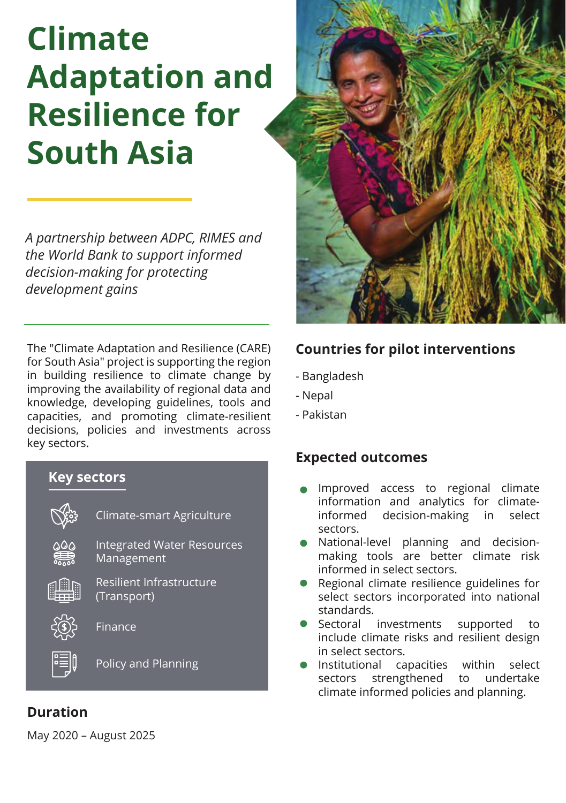# **Climate Adaptation and Resilience for South Asia**

*A partnership between ADPC, RIMES and the World Bank to support informed decision-making for protecting development gains* 

The "Climate Adaptation and Resilience (CARE) for South Asia" project is supporting the region in building resilience to climate change by improving the availability of regional data and knowledge, developing guidelines, tools and capacities, and promoting climate-resilient decisions, policies and investments across key sectors.

## **Key sectors** Climate-smart Agriculture Integrated Water Resources Management Resilient Infrastructure (Transport) Finance FEIQ Policy and Planning



#### **Countries for pilot interventions**

- Bangladesh
- Nepal
- Pakistan

#### **Expected outcomes**

- Improved access to regional climate information and analytics for climateinformed decision-making in select sectors.
- National-level planning and decisionmaking tools are better climate risk informed in select sectors.
- Regional climate resilience guidelines for select sectors incorporated into national standards.
- Sectoral investments supported to include climate risks and resilient design in select sectors.
- Institutional capacities within select sectors strengthened to undertake climate informed policies and planning.

### **Duration**

May 2020 – August 2025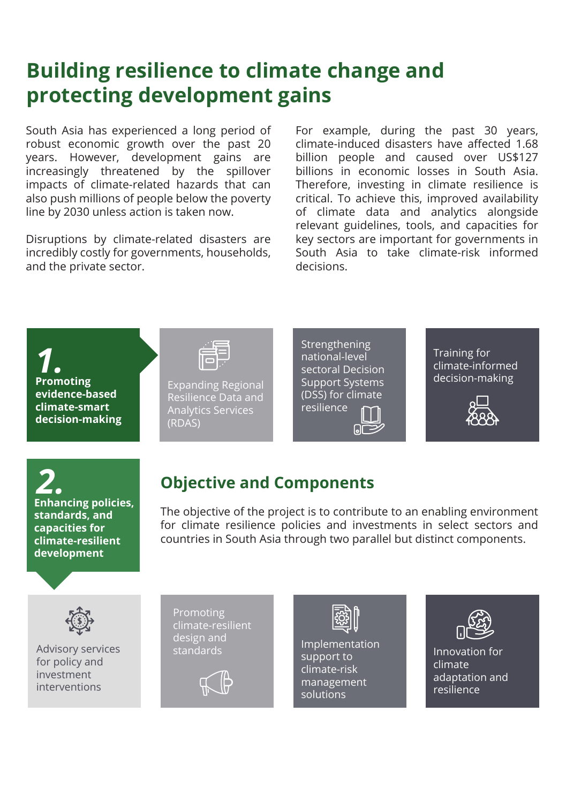## **Building resilience to climate change and protecting development gains**

South Asia has experienced a long period of robust economic growth over the past 20 years. However, development gains are increasingly threatened by the spillover impacts of climate-related hazards that can also push millions of people below the poverty line by 2030 unless action is taken now.

Disruptions by climate-related disasters are incredibly costly for governments, households, and the private sector.

For example, during the past 30 years, climate-induced disasters have affected 1.68 billion people and caused over US\$127 billions in economic losses in South Asia. Therefore, investing in climate resilience is critical. To achieve this, improved availability of climate data and analytics alongside relevant guidelines, tools, and capacities for key sectors are important for governments in South Asia to take climate-risk informed decisions.

*1.* **Promoting evidence-based climate-smart decision-making**



Expanding Regional Resilience Data and Analytics Services (RDAS)

**Strengthening** national-level sectoral Decision Support Systems (DSS) for climate resilience  $\Box$ 

Training for climate-informed decision-making



*2.* **Enhancing policies, standards, and capacities for climate-resilient development**

## **Objective and Components**

The objective of the project is to contribute to an enabling environment for climate resilience policies and investments in select sectors and countries in South Asia through two parallel but distinct components.



Advisory services for policy and investment interventions

Promoting climate-resilient design and





design and<br>standards **Implementation** support to climate-risk management solutions



Innovation for climate adaptation and resilience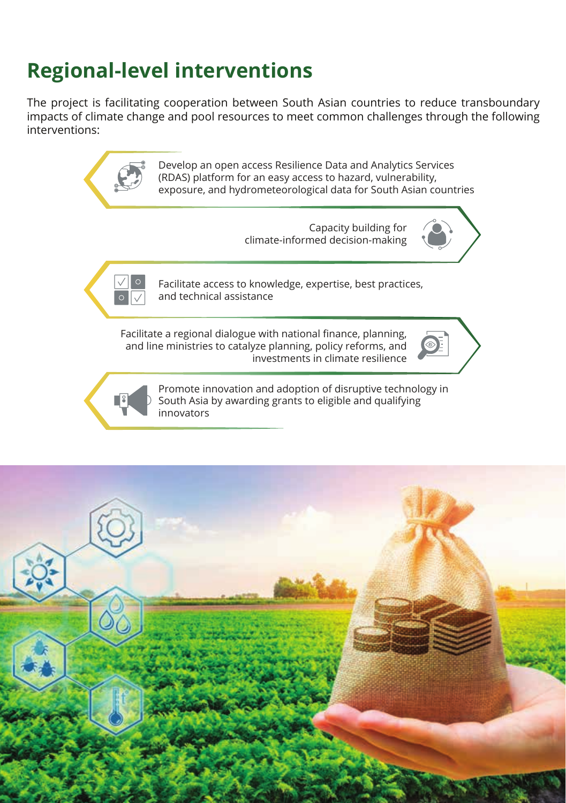# **Regional-level interventions**

The project is facilitating cooperation between South Asian countries to reduce transboundary impacts of climate change and pool resources to meet common challenges through the following interventions:



Develop an open access Resilience Data and Analytics Services (RDAS) platform for an easy access to hazard, vulnerability, exposure, and hydrometeorological data for South Asian countries

> Capacity building for climate-informed decision-making



Facilitate access to knowledge, expertise, best practices, and technical assistance

Facilitate a regional dialogue with national finance, planning, and line ministries to catalyze planning, policy reforms, and investments in climate resilience





Promote innovation and adoption of disruptive technology in South Asia by awarding grants to eligible and qualifying innovators